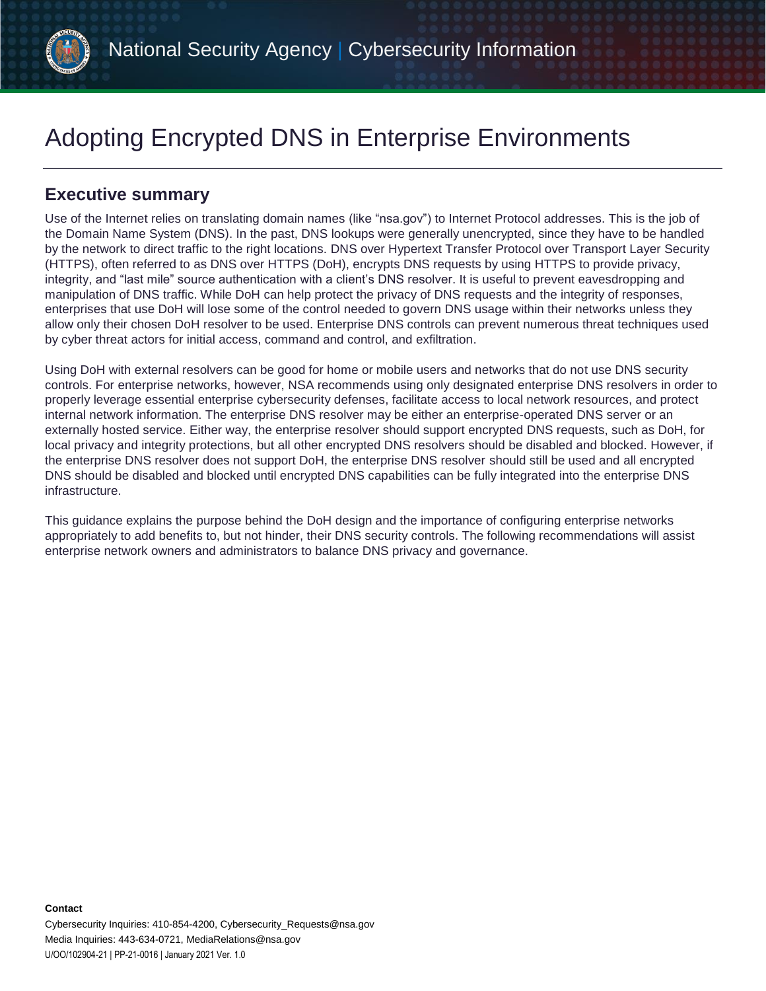

# Adopting Encrypted DNS in Enterprise Environments

# **Executive summary**

Use of the Internet relies on translating domain names (like "nsa.gov") to Internet Protocol addresses. This is the job of the Domain Name System (DNS). In the past, DNS lookups were generally unencrypted, since they have to be handled by the network to direct traffic to the right locations. DNS over Hypertext Transfer Protocol over Transport Layer Security (HTTPS), often referred to as DNS over HTTPS (DoH), encrypts DNS requests by using HTTPS to provide privacy, integrity, and "last mile" source authentication with a client's DNS resolver. It is useful to prevent eavesdropping and manipulation of DNS traffic. While DoH can help protect the privacy of DNS requests and the integrity of responses, enterprises that use DoH will lose some of the control needed to govern DNS usage within their networks unless they allow only their chosen DoH resolver to be used. Enterprise DNS controls can prevent numerous threat techniques used by cyber threat actors for initial access, command and control, and exfiltration.

Using DoH with external resolvers can be good for home or mobile users and networks that do not use DNS security controls. For enterprise networks, however, NSA recommends using only designated enterprise DNS resolvers in order to properly leverage essential enterprise cybersecurity defenses, facilitate access to local network resources, and protect internal network information. The enterprise DNS resolver may be either an enterprise-operated DNS server or an externally hosted service. Either way, the enterprise resolver should support encrypted DNS requests, such as DoH, for local privacy and integrity protections, but all other encrypted DNS resolvers should be disabled and blocked. However, if the enterprise DNS resolver does not support DoH, the enterprise DNS resolver should still be used and all encrypted DNS should be disabled and blocked until encrypted DNS capabilities can be fully integrated into the enterprise DNS infrastructure.

This guidance explains the purpose behind the DoH design and the importance of configuring enterprise networks appropriately to add benefits to, but not hinder, their DNS security controls. The following recommendations will assist enterprise network owners and administrators to balance DNS privacy and governance.

**Contact**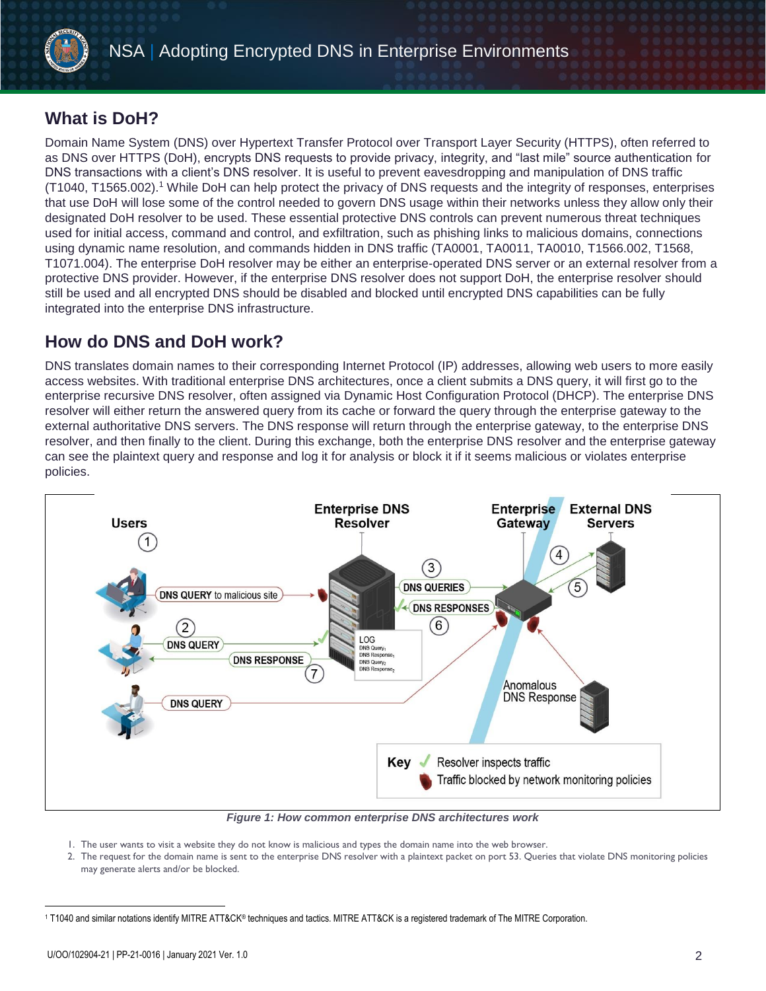

# **What is DoH?**

Domain Name System (DNS) over Hypertext Transfer Protocol over Transport Layer Security (HTTPS), often referred to as DNS over HTTPS (DoH), encrypts DNS requests to provide privacy, integrity, and "last mile" source authentication for DNS transactions with a client's DNS resolver. It is useful to prevent eavesdropping and manipulation of DNS traffic (T1040, T1565.002). <sup>1</sup> While DoH can help protect the privacy of DNS requests and the integrity of responses, enterprises that use DoH will lose some of the control needed to govern DNS usage within their networks unless they allow only their designated DoH resolver to be used. These essential protective DNS controls can prevent numerous threat techniques used for initial access, command and control, and exfiltration, such as phishing links to malicious domains, connections using dynamic name resolution, and commands hidden in DNS traffic (TA0001, TA0011, TA0010, T1566.002, T1568, T1071.004). The enterprise DoH resolver may be either an enterprise-operated DNS server or an external resolver from a protective DNS provider. However, if the enterprise DNS resolver does not support DoH, the enterprise resolver should still be used and all encrypted DNS should be disabled and blocked until encrypted DNS capabilities can be fully integrated into the enterprise DNS infrastructure.

# **How do DNS and DoH work?**

DNS translates domain names to their corresponding Internet Protocol (IP) addresses, allowing web users to more easily access websites. With traditional enterprise DNS architectures, once a client submits a DNS query, it will first go to the enterprise recursive DNS resolver, often assigned via Dynamic Host Configuration Protocol (DHCP). The enterprise DNS resolver will either return the answered query from its cache or forward the query through the enterprise gateway to the external authoritative DNS servers. The DNS response will return through the enterprise gateway, to the enterprise DNS resolver, and then finally to the client. During this exchange, both the enterprise DNS resolver and the enterprise gateway can see the plaintext query and response and log it for analysis or block it if it seems malicious or violates enterprise policies.



*Figure 1: How common enterprise DNS architectures work*

- 1. The user wants to visit a website they do not know is malicious and types the domain name into the web browser.
- 2. The request for the domain name is sent to the enterprise DNS resolver with a plaintext packet on port 53. Queries that violate DNS monitoring policies may generate alerts and/or be blocked.

 $\overline{a}$ <sup>1</sup> T1040 and similar notations identify MITRE ATT&CK® techniques and tactics. MITRE ATT&CK is a registered trademark of The MITRE Corporation.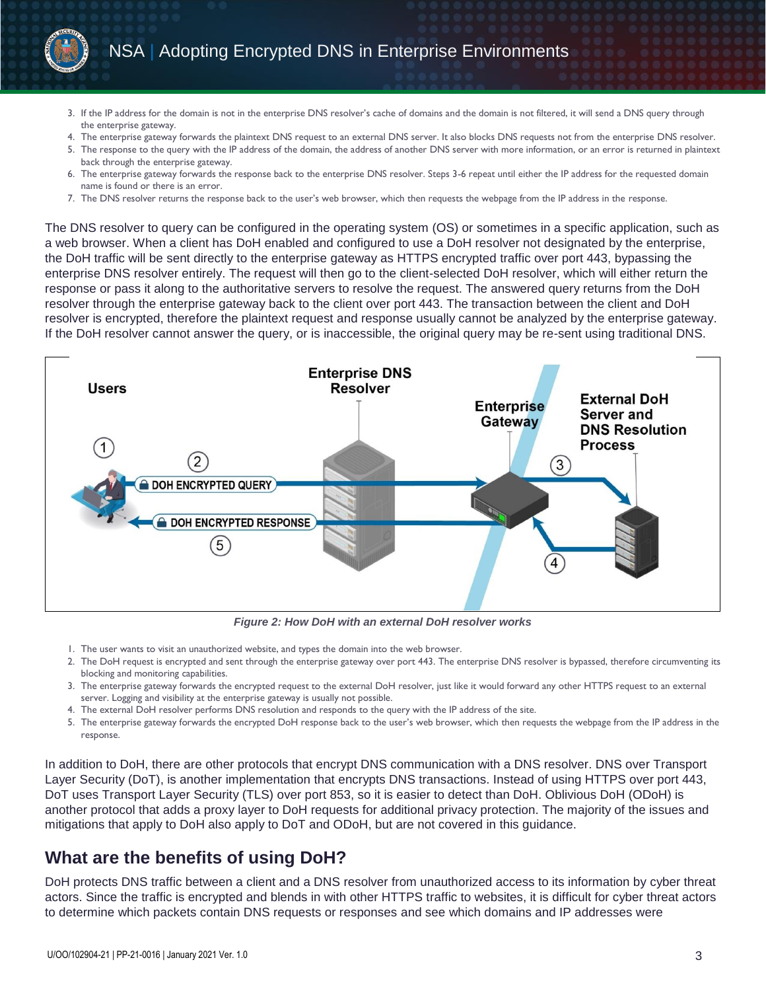

- 3. If the IP address for the domain is not in the enterprise DNS resolver's cache of domains and the domain is not filtered, it will send a DNS query through the enterprise gateway.
- 4. The enterprise gateway forwards the plaintext DNS request to an external DNS server. It also blocks DNS requests not from the enterprise DNS resolver.
- 5. The response to the query with the IP address of the domain, the address of another DNS server with more information, or an error is returned in plaintext back through the enterprise gateway.
- 6. The enterprise gateway forwards the response back to the enterprise DNS resolver. Steps 3-6 repeat until either the IP address for the requested domain name is found or there is an error.
- 7. The DNS resolver returns the response back to the user's web browser, which then requests the webpage from the IP address in the response.

The DNS resolver to query can be configured in the operating system (OS) or sometimes in a specific application, such as a web browser. When a client has DoH enabled and configured to use a DoH resolver not designated by the enterprise, the DoH traffic will be sent directly to the enterprise gateway as HTTPS encrypted traffic over port 443, bypassing the enterprise DNS resolver entirely. The request will then go to the client-selected DoH resolver, which will either return the response or pass it along to the authoritative servers to resolve the request. The answered query returns from the DoH resolver through the enterprise gateway back to the client over port 443. The transaction between the client and DoH resolver is encrypted, therefore the plaintext request and response usually cannot be analyzed by the enterprise gateway. If the DoH resolver cannot answer the query, or is inaccessible, the original query may be re-sent using traditional DNS.



*Figure 2: How DoH with an external DoH resolver works*

- 1. The user wants to visit an unauthorized website, and types the domain into the web browser.
- 2. The DoH request is encrypted and sent through the enterprise gateway over port 443. The enterprise DNS resolver is bypassed, therefore circumventing its blocking and monitoring capabilities.
- 3. The enterprise gateway forwards the encrypted request to the external DoH resolver, just like it would forward any other HTTPS request to an external server. Logging and visibility at the enterprise gateway is usually not possible.
- 4. The external DoH resolver performs DNS resolution and responds to the query with the IP address of the site.
- 5. The enterprise gateway forwards the encrypted DoH response back to the user's web browser, which then requests the webpage from the IP address in the response.

In addition to DoH, there are other protocols that encrypt DNS communication with a DNS resolver. DNS over Transport Layer Security (DoT), is another implementation that encrypts DNS transactions. Instead of using HTTPS over port 443, DoT uses Transport Layer Security (TLS) over port 853, so it is easier to detect than DoH. Oblivious DoH (ODoH) is another protocol that adds a proxy layer to DoH requests for additional privacy protection. The majority of the issues and mitigations that apply to DoH also apply to DoT and ODoH, but are not covered in this guidance.

## **What are the benefits of using DoH?**

DoH protects DNS traffic between a client and a DNS resolver from unauthorized access to its information by cyber threat actors. Since the traffic is encrypted and blends in with other HTTPS traffic to websites, it is difficult for cyber threat actors to determine which packets contain DNS requests or responses and see which domains and IP addresses were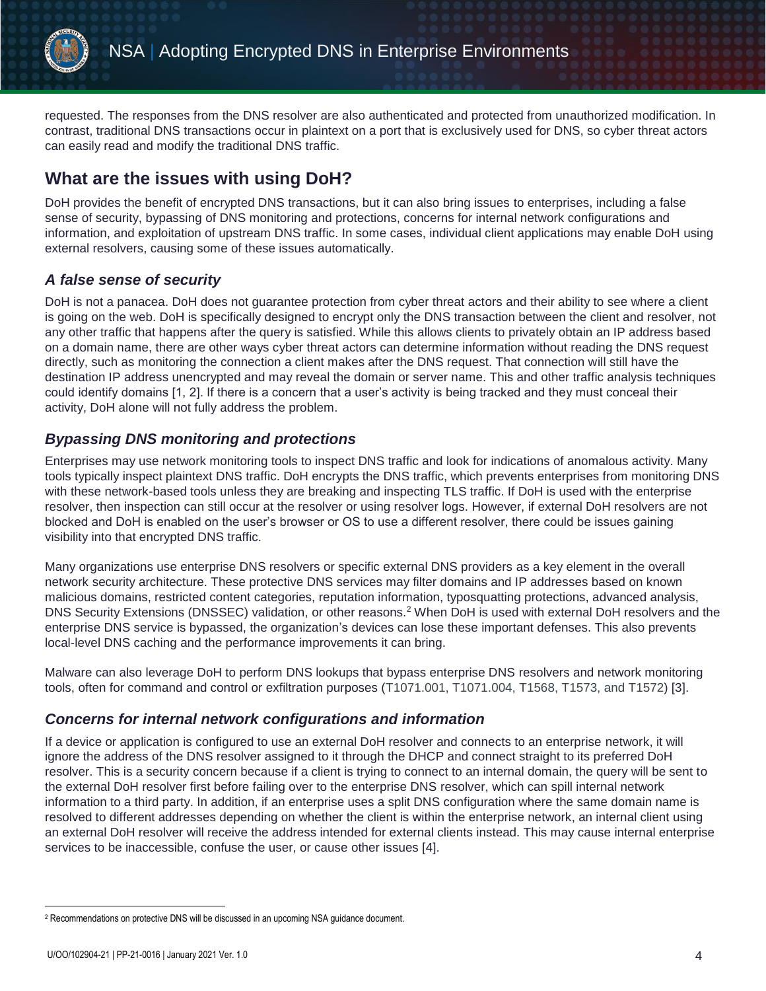

requested. The responses from the DNS resolver are also authenticated and protected from unauthorized modification. In contrast, traditional DNS transactions occur in plaintext on a port that is exclusively used for DNS, so cyber threat actors can easily read and modify the traditional DNS traffic.

# **What are the issues with using DoH?**

DoH provides the benefit of encrypted DNS transactions, but it can also bring issues to enterprises, including a false sense of security, bypassing of DNS monitoring and protections, concerns for internal network configurations and information, and exploitation of upstream DNS traffic. In some cases, individual client applications may enable DoH using external resolvers, causing some of these issues automatically.

## *A false sense of security*

DoH is not a panacea. DoH does not guarantee protection from cyber threat actors and their ability to see where a client is going on the web. DoH is specifically designed to encrypt only the DNS transaction between the client and resolver, not any other traffic that happens after the query is satisfied. While this allows clients to privately obtain an IP address based on a domain name, there are other ways cyber threat actors can determine information without reading the DNS request directly, such as monitoring the connection a client makes after the DNS request. That connection will still have the destination IP address unencrypted and may reveal the domain or server name. This and other traffic analysis techniques could identify domains [1, 2]. If there is a concern that a user's activity is being tracked and they must conceal their activity, DoH alone will not fully address the problem.

#### *Bypassing DNS monitoring and protections*

Enterprises may use network monitoring tools to inspect DNS traffic and look for indications of anomalous activity. Many tools typically inspect plaintext DNS traffic. DoH encrypts the DNS traffic, which prevents enterprises from monitoring DNS with these network-based tools unless they are breaking and inspecting TLS traffic. If DoH is used with the enterprise resolver, then inspection can still occur at the resolver or using resolver logs. However, if external DoH resolvers are not blocked and DoH is enabled on the user's browser or OS to use a different resolver, there could be issues gaining visibility into that encrypted DNS traffic.

Many organizations use enterprise DNS resolvers or specific external DNS providers as a key element in the overall network security architecture. These protective DNS services may filter domains and IP addresses based on known malicious domains, restricted content categories, reputation information, typosquatting protections, advanced analysis, DNS Security Extensions (DNSSEC) validation, or other reasons.<sup>2</sup> When DoH is used with external DoH resolvers and the enterprise DNS service is bypassed, the organization's devices can lose these important defenses. This also prevents local-level DNS caching and the performance improvements it can bring.

Malware can also leverage DoH to perform DNS lookups that bypass enterprise DNS resolvers and network monitoring tools, often for command and control or exfiltration purposes (T1071.001, T1071.004, T1568, T1573, and T1572) [3].

#### *Concerns for internal network configurations and information*

If a device or application is configured to use an external DoH resolver and connects to an enterprise network, it will ignore the address of the DNS resolver assigned to it through the DHCP and connect straight to its preferred DoH resolver. This is a security concern because if a client is trying to connect to an internal domain, the query will be sent to the external DoH resolver first before failing over to the enterprise DNS resolver, which can spill internal network information to a third party. In addition, if an enterprise uses a split DNS configuration where the same domain name is resolved to different addresses depending on whether the client is within the enterprise network, an internal client using an external DoH resolver will receive the address intended for external clients instead. This may cause internal enterprise services to be inaccessible, confuse the user, or cause other issues [4].

 $\overline{a}$ 

<sup>2</sup> Recommendations on protective DNS will be discussed in an upcoming NSA guidance document.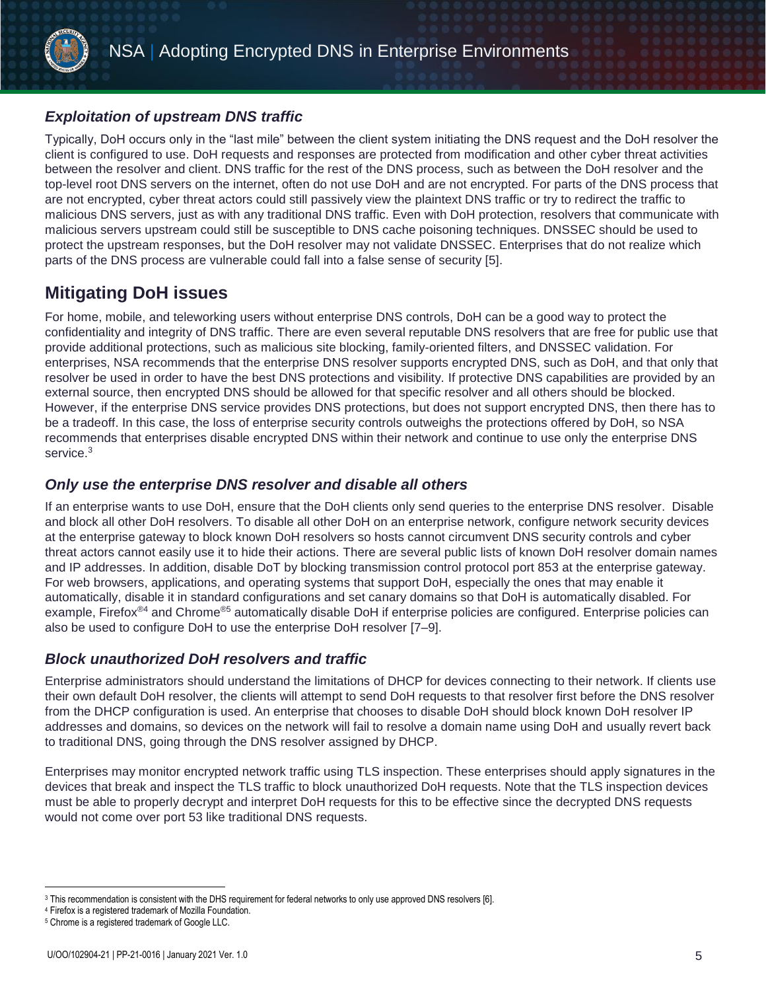

### *Exploitation of upstream DNS traffic*

Typically, DoH occurs only in the "last mile" between the client system initiating the DNS request and the DoH resolver the client is configured to use. DoH requests and responses are protected from modification and other cyber threat activities between the resolver and client. DNS traffic for the rest of the DNS process, such as between the DoH resolver and the top-level root DNS servers on the internet, often do not use DoH and are not encrypted. For parts of the DNS process that are not encrypted, cyber threat actors could still passively view the plaintext DNS traffic or try to redirect the traffic to malicious DNS servers, just as with any traditional DNS traffic. Even with DoH protection, resolvers that communicate with malicious servers upstream could still be susceptible to DNS cache poisoning techniques. DNSSEC should be used to protect the upstream responses, but the DoH resolver may not validate DNSSEC. Enterprises that do not realize which parts of the DNS process are vulnerable could fall into a false sense of security [5].

# **Mitigating DoH issues**

For home, mobile, and teleworking users without enterprise DNS controls, DoH can be a good way to protect the confidentiality and integrity of DNS traffic. There are even several reputable DNS resolvers that are free for public use that provide additional protections, such as malicious site blocking, family-oriented filters, and DNSSEC validation. For enterprises, NSA recommends that the enterprise DNS resolver supports encrypted DNS, such as DoH, and that only that resolver be used in order to have the best DNS protections and visibility. If protective DNS capabilities are provided by an external source, then encrypted DNS should be allowed for that specific resolver and all others should be blocked. However, if the enterprise DNS service provides DNS protections, but does not support encrypted DNS, then there has to be a tradeoff. In this case, the loss of enterprise security controls outweighs the protections offered by DoH, so NSA recommends that enterprises disable encrypted DNS within their network and continue to use only the enterprise DNS service.<sup>3</sup>

#### *Only use the enterprise DNS resolver and disable all others*

If an enterprise wants to use DoH, ensure that the DoH clients only send queries to the enterprise DNS resolver. Disable and block all other DoH resolvers. To disable all other DoH on an enterprise network, configure network security devices at the enterprise gateway to block known DoH resolvers so hosts cannot circumvent DNS security controls and cyber threat actors cannot easily use it to hide their actions. There are several public lists of known DoH resolver domain names and IP addresses. In addition, disable DoT by blocking transmission control protocol port 853 at the enterprise gateway. For web browsers, applications, and operating systems that support DoH, especially the ones that may enable it automatically, disable it in standard configurations and set canary domains so that DoH is automatically disabled. For example, Firefox<sup>®4</sup> and Chrome<sup>®5</sup> automatically disable DoH if enterprise policies are configured. Enterprise policies can also be used to configure DoH to use the enterprise DoH resolver [7–9].

## *Block unauthorized DoH resolvers and traffic*

Enterprise administrators should understand the limitations of DHCP for devices connecting to their network. If clients use their own default DoH resolver, the clients will attempt to send DoH requests to that resolver first before the DNS resolver from the DHCP configuration is used. An enterprise that chooses to disable DoH should block known DoH resolver IP addresses and domains, so devices on the network will fail to resolve a domain name using DoH and usually revert back to traditional DNS, going through the DNS resolver assigned by DHCP.

Enterprises may monitor encrypted network traffic using TLS inspection. These enterprises should apply signatures in the devices that break and inspect the TLS traffic to block unauthorized DoH requests. Note that the TLS inspection devices must be able to properly decrypt and interpret DoH requests for this to be effective since the decrypted DNS requests would not come over port 53 like traditional DNS requests.

 $\overline{a}$ 

<sup>3</sup> This recommendation is consistent with the DHS requirement for federal networks to only use approved DNS resolvers [6].

<sup>4</sup> Firefox is a registered trademark of Mozilla Foundation.

<sup>5</sup> Chrome is a registered trademark of Google LLC.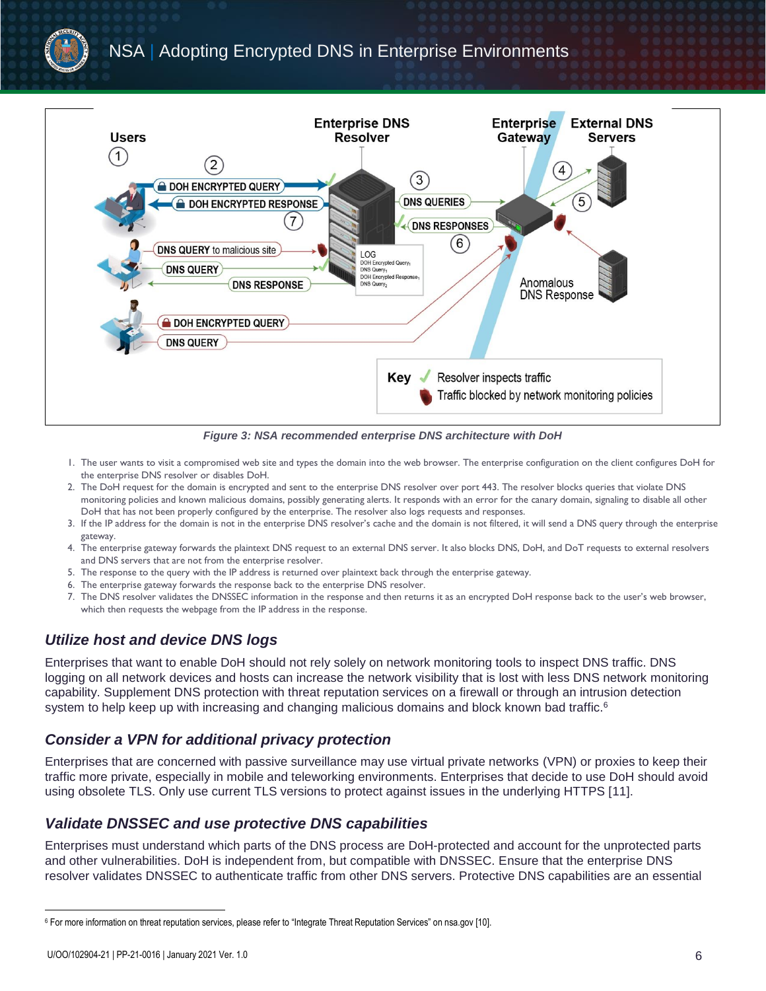

*Figure 3: NSA recommended enterprise DNS architecture with DoH* 

- 1. The user wants to visit a compromised web site and types the domain into the web browser. The enterprise configuration on the client configures DoH for the enterprise DNS resolver or disables DoH.
- 2. The DoH request for the domain is encrypted and sent to the enterprise DNS resolver over port 443. The resolver blocks queries that violate DNS monitoring policies and known malicious domains, possibly generating alerts. It responds with an error for the canary domain, signaling to disable all other DoH that has not been properly configured by the enterprise. The resolver also logs requests and responses.
- 3. If the IP address for the domain is not in the enterprise DNS resolver's cache and the domain is not filtered, it will send a DNS query through the enterprise gateway.
- 4. The enterprise gateway forwards the plaintext DNS request to an external DNS server. It also blocks DNS, DoH, and DoT requests to external resolvers and DNS servers that are not from the enterprise resolver.
- 5. The response to the query with the IP address is returned over plaintext back through the enterprise gateway.
- 6. The enterprise gateway forwards the response back to the enterprise DNS resolver.
- 7. The DNS resolver validates the DNSSEC information in the response and then returns it as an encrypted DoH response back to the user's web browser, which then requests the webpage from the IP address in the response.

## *Utilize host and device DNS logs*

Enterprises that want to enable DoH should not rely solely on network monitoring tools to inspect DNS traffic. DNS logging on all network devices and hosts can increase the network visibility that is lost with less DNS network monitoring capability. Supplement DNS protection with threat reputation services on a firewall or through an intrusion detection system to help keep up with increasing and changing malicious domains and block known bad traffic. $6$ 

#### *Consider a VPN for additional privacy protection*

Enterprises that are concerned with passive surveillance may use virtual private networks (VPN) or proxies to keep their traffic more private, especially in mobile and teleworking environments. Enterprises that decide to use DoH should avoid using obsolete TLS. Only use current TLS versions to protect against issues in the underlying HTTPS [11].

#### *Validate DNSSEC and use protective DNS capabilities*

Enterprises must understand which parts of the DNS process are DoH-protected and account for the unprotected parts and other vulnerabilities. DoH is independent from, but compatible with DNSSEC. Ensure that the enterprise DNS resolver validates DNSSEC to authenticate traffic from other DNS servers. Protective DNS capabilities are an essential

 $\overline{a}$ 

<sup>6</sup> For more information on threat reputation services, please refer to "Integrate Threat Reputation Services" on nsa.gov [10].